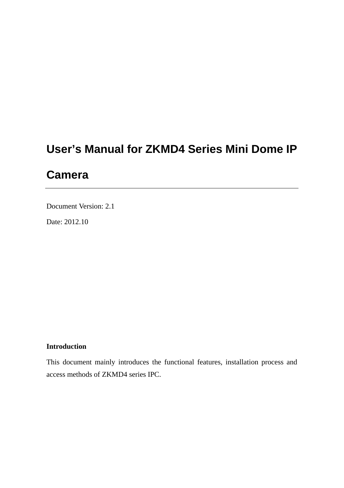# **User's Manual for ZKMD4 Series Mini Dome IP**

# **Camera**

Document Version: 2.1

Date: 2012.10

#### **Introduction**

This document mainly introduces the functional features, installation process and access methods of ZKMD4 series IPC.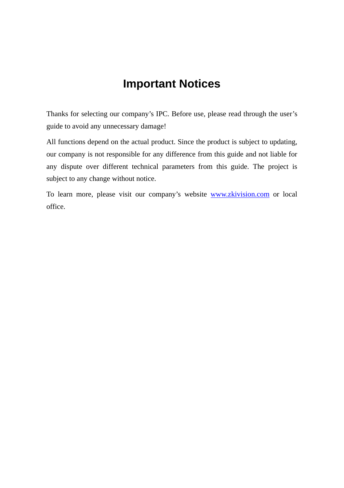# **Important Notices**

Thanks for selecting our company's IPC. Before use, please read through the user's guide to avoid any unnecessary damage!

All functions depend on the actual product. Since the product is subject to updating, our company is not responsible for any difference from this guide and not liable for any dispute over different technical parameters from this guide. The project is subject to any change without notice.

To learn more, please visit our company's website [www.zkivision.com](http://www.zkivision.com/) or local office.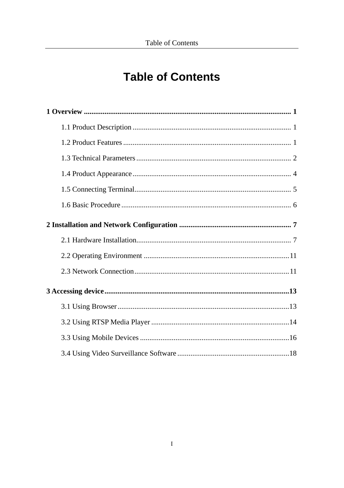# **Table of Contents**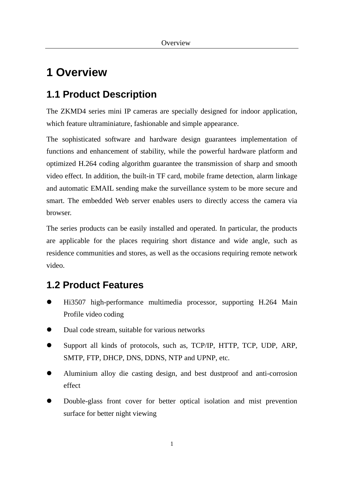# <span id="page-3-0"></span>**1 Overview**

## <span id="page-3-1"></span>**1.1 Product Description**

The ZKMD4 series mini IP cameras are specially designed for indoor application, which feature ultraminiature, fashionable and simple appearance.

The sophisticated software and hardware design guarantees implementation of functions and enhancement of stability, while the powerful hardware platform and optimized H.264 coding algorithm guarantee the transmission of sharp and smooth video effect. In addition, the built-in TF card, mobile frame detection, alarm linkage and automatic EMAIL sending make the surveillance system to be more secure and smart. The embedded Web server enables users to directly access the camera via browser.

The series products can be easily installed and operated. In particular, the products are applicable for the places requiring short distance and wide angle, such as residence communities and stores, as well as the occasions requiring remote network video.

## <span id="page-3-2"></span>**1.2 Product Features**

- Hi3507 high-performance multimedia processor, supporting H.264 Main Profile video coding
- Dual code stream, suitable for various networks
- Support all kinds of protocols, such as, TCP/IP, HTTP, TCP, UDP, ARP, SMTP, FTP, DHCP, DNS, DDNS, NTP and UPNP, etc.
- Aluminium alloy die casting design, and best dustproof and anti-corrosion effect
- Double-glass front cover for better optical isolation and mist prevention surface for better night viewing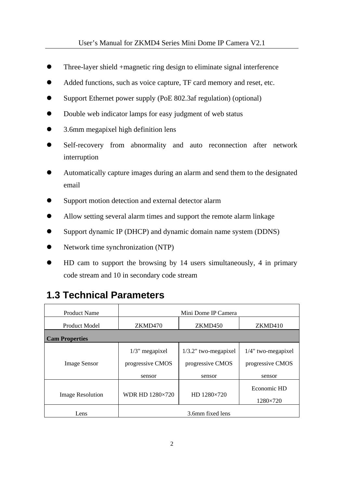- Three-layer shield +magnetic ring design to eliminate signal interference
- Added functions, such as voice capture, TF card memory and reset, etc.
- Support Ethernet power supply (PoE 802.3af regulation) (optional)
- Double web indicator lamps for easy judgment of web status
- 3.6mm megapixel high definition lens
- Self-recovery from abnormality and auto reconnection after network interruption
- Automatically capture images during an alarm and send them to the designated email
- Support motion detection and external detector alarm
- Allow setting several alarm times and support the remote alarm linkage
- Support dynamic IP (DHCP) and dynamic domain name system (DDNS)
- Network time synchronization (NTP)
- HD cam to support the browsing by 14 users simultaneously, 4 in primary code stream and 10 in secondary code stream

## <span id="page-4-0"></span>**1.3 Technical Parameters**

| Product Name            |                                       | Mini Dome IP Camera                         |                                           |
|-------------------------|---------------------------------------|---------------------------------------------|-------------------------------------------|
| Product Model           | ZKMD470                               | ZKMD450                                     | ZKMD410                                   |
| <b>Cam Properties</b>   |                                       |                                             |                                           |
| <b>Image Sensor</b>     | $1/3$ " megapixel<br>progressive CMOS | $1/3.2$ " two-megapixel<br>progressive CMOS | $1/4$ " two-megapixel<br>progressive CMOS |
|                         | sensor                                | sensor                                      | sensor                                    |
| <b>Image Resolution</b> | <b>WDR HD 1280×720</b>                | HD 1280×720                                 | Economic HD<br>1280×720                   |
| Lens                    |                                       | 3.6mm fixed lens                            |                                           |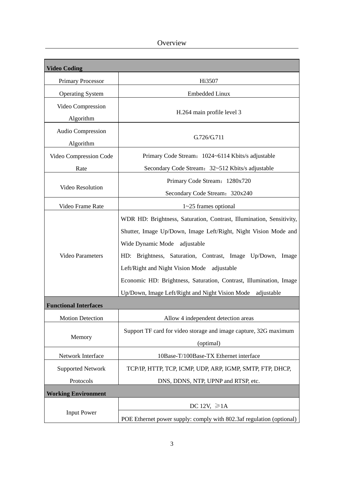Overview

| <b>Video Coding</b>          |                                                                      |  |  |  |
|------------------------------|----------------------------------------------------------------------|--|--|--|
| Primary Processor            | Hi3507                                                               |  |  |  |
| <b>Operating System</b>      | <b>Embedded Linux</b>                                                |  |  |  |
| Video Compression            |                                                                      |  |  |  |
| Algorithm                    | H.264 main profile level 3                                           |  |  |  |
| Audio Compression            |                                                                      |  |  |  |
| Algorithm                    | G.726/G.711                                                          |  |  |  |
| Video Compression Code       | Primary Code Stream: 1024~6114 Kbits/s adjustable                    |  |  |  |
| Rate                         | Secondary Code Stream: 32~512 Kbits/s adjustable                     |  |  |  |
|                              | Primary Code Stream: 1280x720                                        |  |  |  |
| Video Resolution             | Secondary Code Stream: 320x240                                       |  |  |  |
| Video Frame Rate             | $1~25$ frames optional                                               |  |  |  |
|                              | WDR HD: Brightness, Saturation, Contrast, Illumination, Sensitivity, |  |  |  |
|                              | Shutter, Image Up/Down, Image Left/Right, Night Vision Mode and      |  |  |  |
|                              | Wide Dynamic Mode<br>adjustable                                      |  |  |  |
| <b>Video Parameters</b>      | HD: Brightness, Saturation, Contrast, Image Up/Down,<br>Image        |  |  |  |
|                              | Left/Right and Night Vision Mode adjustable                          |  |  |  |
|                              | Economic HD: Brightness, Saturation, Contrast, Illumination, Image   |  |  |  |
|                              | Up/Down, Image Left/Right and Night Vision Mode<br>adjustable        |  |  |  |
| <b>Functional Interfaces</b> |                                                                      |  |  |  |
| <b>Motion Detection</b>      | Allow 4 independent detection areas                                  |  |  |  |
|                              | Support TF card for video storage and image capture, 32G maximum     |  |  |  |
| Memory                       | (optimal)                                                            |  |  |  |
| Network Interface            | 10Base-T/100Base-TX Ethernet interface                               |  |  |  |
| <b>Supported Network</b>     | TCP/IP, HTTP, TCP, ICMP, UDP, ARP, IGMP, SMTP, FTP, DHCP,            |  |  |  |
| Protocols                    | DNS, DDNS, NTP, UPNP and RTSP, etc.                                  |  |  |  |
| <b>Working Environment</b>   |                                                                      |  |  |  |
|                              | DC 12V, $\geq 1$ A                                                   |  |  |  |
| <b>Input Power</b>           | POE Ethernet power supply: comply with 802.3af regulation (optional) |  |  |  |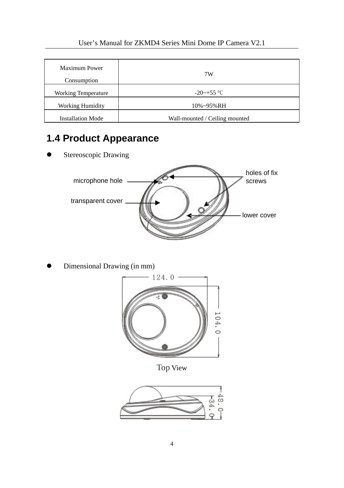| Maximum Power<br>Consumption | 7W                             |
|------------------------------|--------------------------------|
| <b>Working Temperature</b>   | $-20$ ~ $+55$ °C               |
| <b>Working Humidity</b>      | 10%~95%RH                      |
| <b>Installation Mode</b>     | Wall-mounted / Ceiling mounted |

# <span id="page-6-0"></span>**1.4 Product Appearance**

**•** Stereoscopic Drawing



Dimensional Drawing (in mm)



Top View

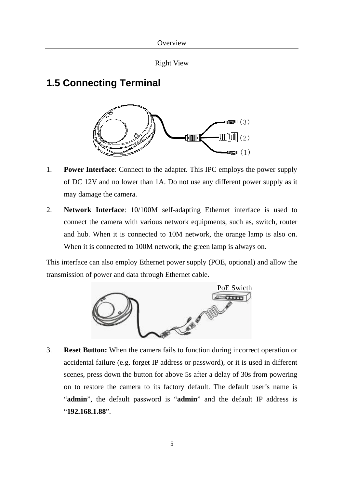```
Right View
```
## <span id="page-7-0"></span>**1.5 Connecting Terminal**



- 1. **Power Interface**: Connect to the adapter. This IPC employs the power supply of DC 12V and no lower than 1A. Do not use any different power supply as it may damage the camera.
- 2. **Network Interface**: 10/100M self-adapting Ethernet interface is used to connect the camera with various network equipments, such as, switch, router and hub. When it is connected to 10M network, the orange lamp is also on. When it is connected to 100M network, the green lamp is always on.

This interface can also employ Ethernet power supply (POE, optional) and allow the transmission of power and data through Ethernet cable.



3. **Reset Button:** When the camera fails to function during incorrect operation or accidental failure (e.g. forget IP address or password), or it is used in different scenes, press down the button for above 5s after a delay of 30s from powering on to restore the camera to its factory default. The default user's name is "**admin**", the default password is "**admin**" and the default IP address is "**192.168.1.88**".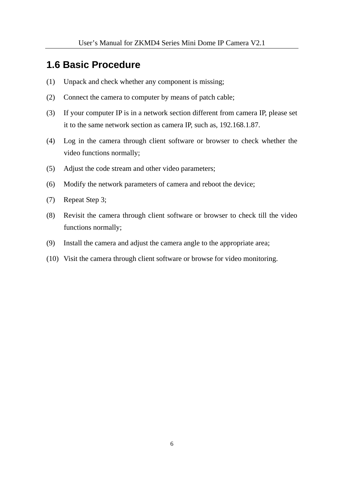### <span id="page-8-0"></span>**1.6 Basic Procedure**

- (1) Unpack and check whether any component is missing;
- (2) Connect the camera to computer by means of patch cable;
- (3) If your computer IP is in a network section different from camera IP, please set it to the same network section as camera IP, such as, 192.168.1.87.
- (4) Log in the camera through client software or browser to check whether the video functions normally;
- (5) Adjust the code stream and other video parameters;
- (6) Modify the network parameters of camera and reboot the device;
- (7) Repeat Step 3;
- (8) Revisit the camera through client software or browser to check till the video functions normally;
- (9) Install the camera and adjust the camera angle to the appropriate area;
- (10) Visit the camera through client software or browse for video monitoring.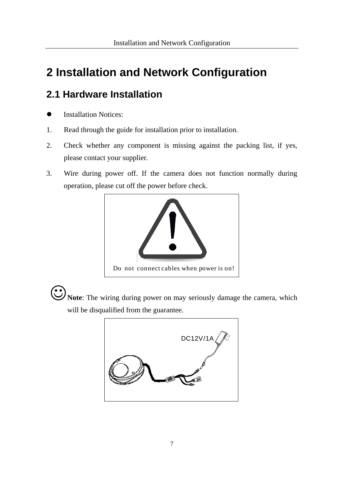# <span id="page-9-0"></span>**2 Installation and Network Configuration**

# <span id="page-9-1"></span>**2.1 Hardware Installation**

- Installation Notices:
- 1. Read through the guide for installation prior to installation.
- 2. Check whether any component is missing against the packing list, if yes, please contact your supplier.
- 3. Wire during power off. If the camera does not function normally during operation, please cut off the power before check.



**Note**: The wiring during power on may seriously damage the camera, which will be disqualified from the guarantee.

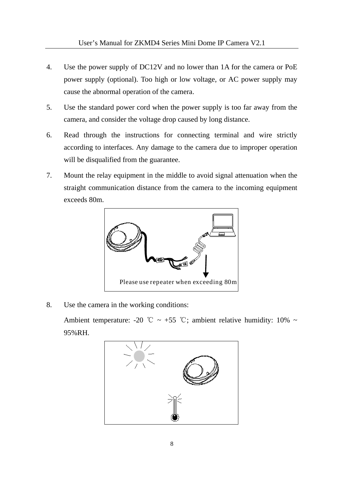- 4. Use the power supply of DC12V and no lower than 1A for the camera or PoE power supply (optional). Too high or low voltage, or AC power supply may cause the abnormal operation of the camera.
- 5. Use the standard power cord when the power supply is too far away from the camera, and consider the voltage drop caused by long distance.
- 6. Read through the instructions for connecting terminal and wire strictly according to interfaces. Any damage to the camera due to improper operation will be disqualified from the guarantee.
- 7. Mount the relay equipment in the middle to avoid signal attenuation when the straight communication distance from the camera to the incoming equipment exceeds 80m.



8. Use the camera in the working conditions:

Ambient temperature: -20 °C ~ +55 °C; ambient relative humidity: 10% ~ 95%RH.

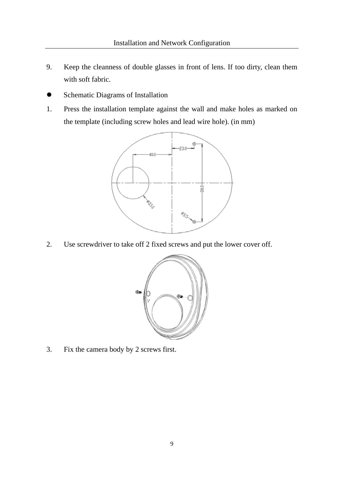- 9. Keep the cleanness of double glasses in front of lens. If too dirty, clean them with soft fabric.
- Schematic Diagrams of Installation
- 1. Press the installation template against the wall and make holes as marked on the template (including screw holes and lead wire hole). (in mm)



2. Use screwdriver to take off 2 fixed screws and put the lower cover off.



3. Fix the camera body by 2 screws first.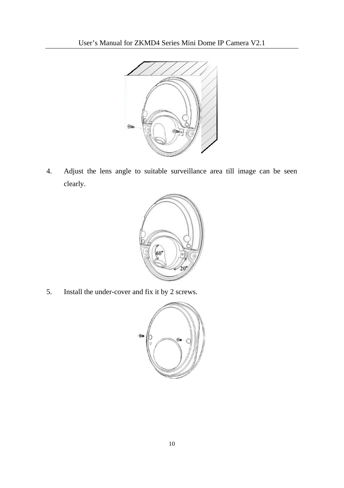![](_page_12_Picture_1.jpeg)

4. Adjust the lens angle to suitable surveillance area till image can be seen clearly.

![](_page_12_Figure_3.jpeg)

5. Install the under-cover and fix it by 2 screws.

![](_page_12_Figure_5.jpeg)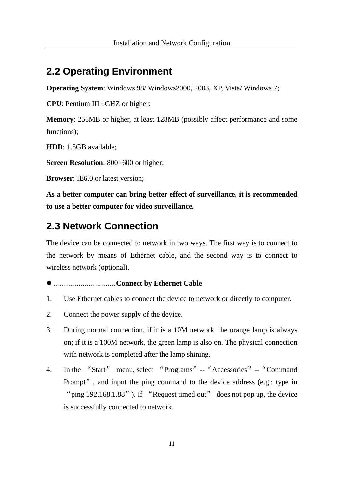### <span id="page-13-0"></span>**2.2 Operating Environment**

**Operating System**: Windows 98/ Windows2000, 2003, XP, Vista/ Windows 7;

**CPU**: Pentium III 1GHZ or higher;

**Memory**: 256MB or higher, at least 128MB (possibly affect performance and some functions):

**HDD**: 1.5GB available;

**Screen Resolution**: 800×600 or higher;

**Browser**: IE6.0 or latest version;

**As a better computer can bring better effect of surveillance, it is recommended to use a better computer for video surveillance.**

### <span id="page-13-1"></span>**2.3 Network Connection**

The device can be connected to network in two ways. The first way is to connect to the network by means of Ethernet cable, and the second way is to connect to wireless network (optional).

#### ..............................**Connect by Ethernet Cable**

- 1. Use Ethernet cables to connect the device to network or directly to computer.
- 2. Connect the power supply of the device.
- 3. During normal connection, if it is a 10M network, the orange lamp is always on; if it is a 100M network, the green lamp is also on. The physical connection with network is completed after the lamp shining.
- 4. In the "Start" menu, select "Programs"--"Accessories"--"Command Prompt", and input the ping command to the device address (e.g.: type in "ping 192.168.1.88"). If "Request timed out" does not pop up, the device is successfully connected to network.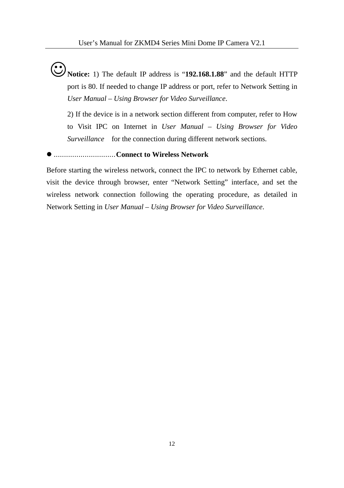**Notice:** 1) The default IP address is "**192.168.1.88**" and the default HTTP port is 80. If needed to change IP address or port, refer to Network Setting in *User Manual – Using Browser for Video Surveillance*.

2) If the device is in a network section different from computer, refer to How to Visit IPC on Internet in *User Manual – Using Browser for Video Surveillance* for the connection during different network sections.

#### ..............................**Connect to Wireless Network**

Before starting the wireless network, connect the IPC to network by Ethernet cable, visit the device through browser, enter "Network Setting" interface, and set the wireless network connection following the operating procedure, as detailed in Network Setting in *User Manual – Using Browser for Video Surveillance*.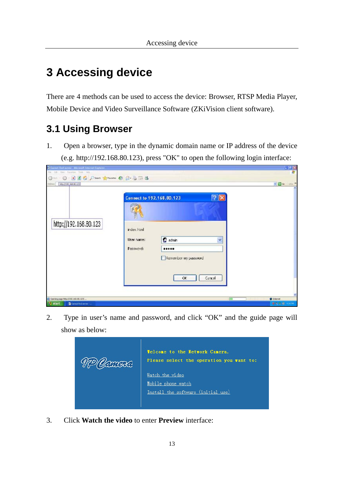# <span id="page-15-0"></span>**3 Accessing device**

There are 4 methods can be used to access the device: Browser, RTSP Media Player, Mobile Device and Video Surveillance Software (ZKiVision client software).

## <span id="page-15-1"></span>**3.1 Using Browser**

1. Open a browser, type in the dynamic domain name or IP address of the device (e.g. http://192.168.80.123), press "OK" to open the following login interface:

| D Cannet find opters Microsoft Internet Explorer<br>Fin Edi Verr Farantes Tools Help |                                        |                                                                                                    | $ e$ $x$                        |
|--------------------------------------------------------------------------------------|----------------------------------------|----------------------------------------------------------------------------------------------------|---------------------------------|
| 0 0 0 3 3 6 Dies Streets 0 3 3 3 3<br><b>DRIVETST, 364 BCLED</b><br>Address 3        |                                        |                                                                                                    | $M$ $\Box$ 40 $M$               |
| http://192.168.80.123                                                                | index.html<br>Liker name:<br>Password: | ? X<br>Connect to 192.168.80.123<br>2 admin<br>v<br><br>Remember my password<br>$\alpha$<br>Cancel |                                 |
| C Coming page http://192.168.80.123<br><b>If</b> start<br>Carect Ind server          |                                        | m                                                                                                  | <b>D</b> Internet<br>春秋花園 +3000 |

2. Type in user's name and password, and click "OK" and the guide page will show as below:

![](_page_15_Picture_7.jpeg)

3. Click **Watch the video** to enter **Preview** interface: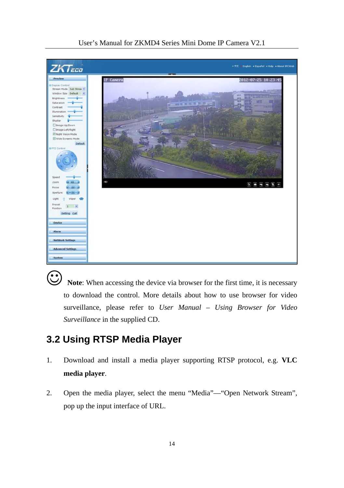![](_page_16_Picture_0.jpeg)

 **Note**: When accessing the device via browser for the first time, it is necessary to download the control. More details about how to use browser for video surveillance, please refer to *User Manual – Using Browser for Video Surveillance* in the supplied CD.

## <span id="page-16-0"></span>**3.2 Using RTSP Media Player**

- 1. Download and install a media player supporting RTSP protocol, e.g. **VLC media player**.
- 2. Open the media player, select the menu "Media"—"Open Network Stream", pop up the input interface of URL.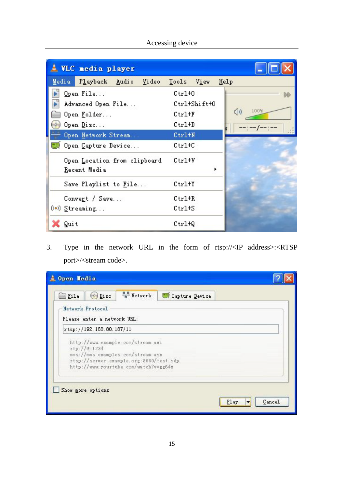|   |       | <u>I</u> VLC nedia player                                   |       |                                  |              |            |      |  |
|---|-------|-------------------------------------------------------------|-------|----------------------------------|--------------|------------|------|--|
|   | Media | Playback Audio                                              | Video | Tools View                       |              | Help       |      |  |
| × |       | Open File<br>Advanced Open File<br>Open Folder<br>Open Disc |       | $Ctr1+0$<br>$Ctr1+F$<br>$Ctr1+D$ | Ctrl+Shift+0 | $\bigcirc$ | 100% |  |
|   |       | Open Network Stream<br>Open Capture Device                  |       | $Ctr1+W$<br>Ctrl+C               |              |            |      |  |
|   |       | Open Location from clipboard<br>Recent Media                |       | $Ctr1+V$                         |              | ٠          |      |  |
|   |       | Save Playlist to File                                       |       | $Ctr1+Y$                         |              |            |      |  |
|   |       | Convert / Save<br>((*) Streaming                            |       | $Ctr1+R$<br>$Ctr1+S$             |              |            |      |  |
|   | Quit  |                                                             |       | $Ctr1+Q$                         |              |            |      |  |

Accessing device

3. Type in the network URL in the form of rtsp://<IP address>:<RTSP port>/<stream code>.

| $\left( \circ \right)$ Disc                     | <b>Metwork</b>                                                                                                                                             | Capture Device |  |
|-------------------------------------------------|------------------------------------------------------------------------------------------------------------------------------------------------------------|----------------|--|
| Network Protocol<br>Please enter a network URL: |                                                                                                                                                            |                |  |
| rtsp://192.168.80.187/11                        |                                                                                                                                                            |                |  |
| $rtp$ :// $0:1234$                              | http://www.example.com/stream.avi<br>mms://mms.examples.com/stream.asx<br>rtsp://server.example.org:8080/test.sdp<br>http://www.rourtube.com/watch?v=gg64x |                |  |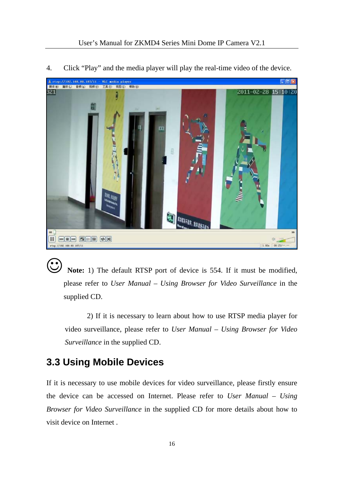![](_page_18_Picture_1.jpeg)

4. Click "Play" and the media player will play the real-time video of the device.

 **Note:** 1) The default RTSP port of device is 554. If it must be modified, please refer to *User Manual – Using Browser for Video Surveillance* in the supplied CD.

2) If it is necessary to learn about how to use RTSP media player for video surveillance, please refer to *User Manual – Using Browser for Video Surveillance* in the supplied CD.

## <span id="page-18-0"></span>**3.3 Using Mobile Devices**

If it is necessary to use mobile devices for video surveillance, please firstly ensure the device can be accessed on Internet. Please refer to *User Manual – Using Browser for Video Surveillance* in the supplied CD for more details about how to visit device on Internet .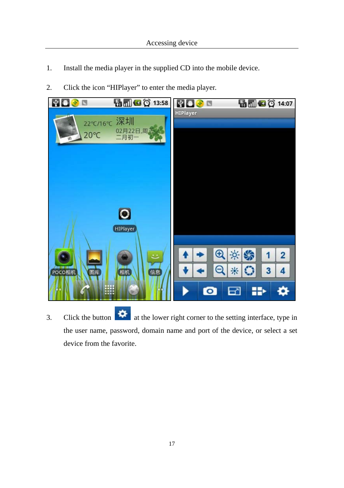- 1. Install the media player in the supplied CD into the mobile device.
- 2. Click the icon "HIPlayer" to enter the media player.

![](_page_19_Picture_3.jpeg)

 $\therefore$  Click the button  $\therefore$  at the lower right corner to the setting interface, type in the user name, password, domain name and port of the device, or select a set device from the favorite.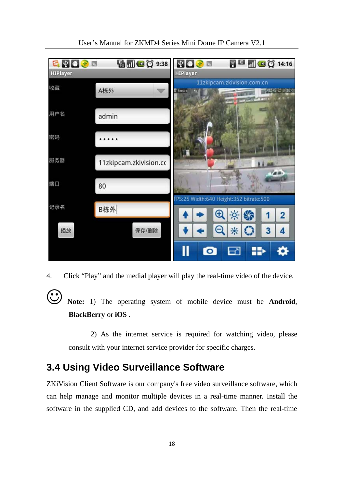![](_page_20_Figure_0.jpeg)

User's Manual for ZKMD4 Series Mini Dome IP Camera V2.1

4. Click "Play" and the medial player will play the real-time video of the device.

 **Note:** 1) The operating system of mobile device must be **Android**, **BlackBerry** or **iOS** .

2) As the internet service is required for watching video, please consult with your internet service provider for specific charges.

## <span id="page-20-0"></span>**3.4 Using Video Surveillance Software**

ZKiVision Client Software is our company's free video surveillance software, which can help manage and monitor multiple devices in a real-time manner. Install the software in the supplied CD, and add devices to the software. Then the real-time